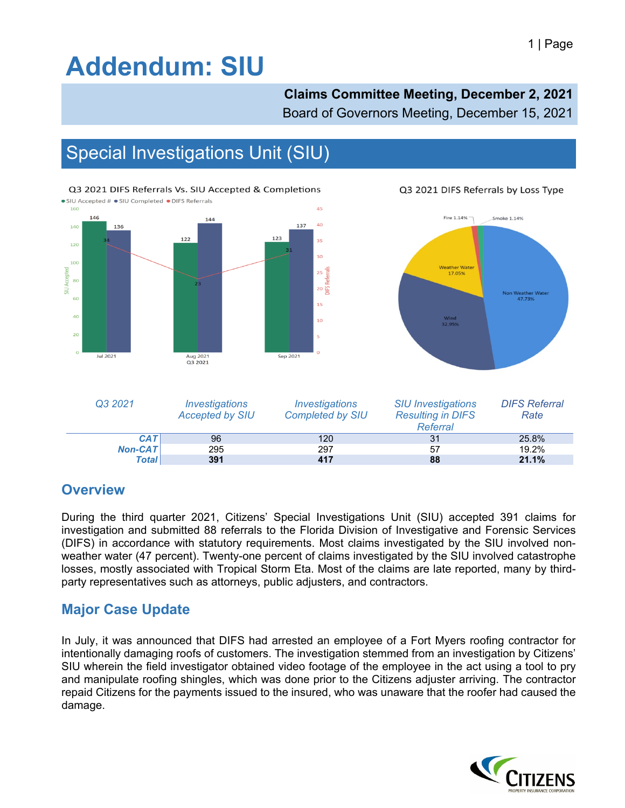# **Addendum: SIU**

### **Claims Committee Meeting, December 2, 2021**

Board of Governors Meeting, December 15, 2021

## Special Investigations Unit (SIU)



Q3 2021 DIFS Referrals by Loss Type



| Q3 2021      | <i><u><b>Investigations</b></u></i><br><b>Accepted by SIU</b> | <i><b>Investigations</b></i><br><b>Completed by SIU</b> | <b>SIU Investigations</b><br><b>Resulting in DIFS</b><br>Referral | <b>DIFS Referral</b><br>Rate |
|--------------|---------------------------------------------------------------|---------------------------------------------------------|-------------------------------------------------------------------|------------------------------|
| CAT          | 96                                                            | 120                                                     | 31                                                                | 25.8%                        |
| $Non-CAT$    | 295                                                           | 297                                                     | 57                                                                | 19.2%                        |
| <b>Total</b> | 391                                                           | 417                                                     | 88                                                                | 21.1%                        |

#### **Overview**

During the third quarter 2021, Citizens' Special Investigations Unit (SIU) accepted 391 claims for investigation and submitted 88 referrals to the Florida Division of Investigative and Forensic Services (DIFS) in accordance with statutory requirements. Most claims investigated by the SIU involved nonweather water (47 percent). Twenty-one percent of claims investigated by the SIU involved catastrophe losses, mostly associated with Tropical Storm Eta. Most of the claims are late reported, many by thirdparty representatives such as attorneys, public adjusters, and contractors.

### **Major Case Update**

In July, it was announced that DIFS had arrested an employee of a Fort Myers roofing contractor for intentionally damaging roofs of customers. The investigation stemmed from an investigation by Citizens' SIU wherein the field investigator obtained video footage of the employee in the act using a tool to pry and manipulate roofing shingles, which was done prior to the Citizens adjuster arriving. The contractor repaid Citizens for the payments issued to the insured, who was unaware that the roofer had caused the damage.